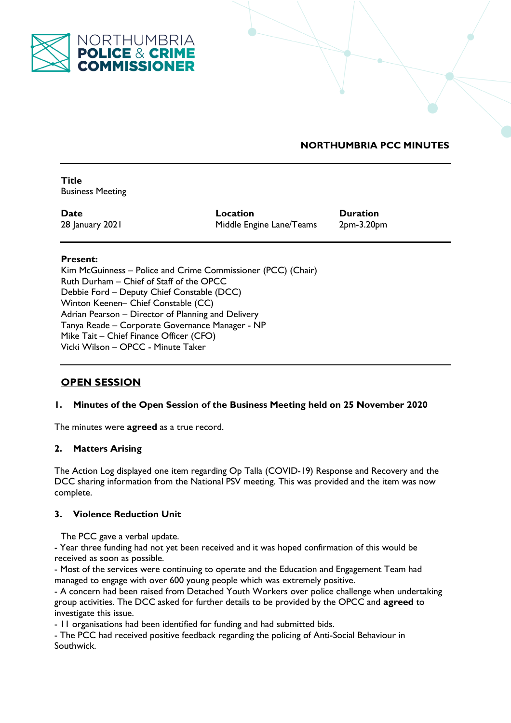

# **NORTHUMBRIA PCC MINUTES**

**Title**  Business Meeting

**Date Location Duration** 28 January 2021 Middle Engine Lane/Teams 2pm-3.20pm

## **Present:**

Kim McGuinness – Police and Crime Commissioner (PCC) (Chair) Ruth Durham – Chief of Staff of the OPCC Debbie Ford – Deputy Chief Constable (DCC) Winton Keenen– Chief Constable (CC) Adrian Pearson – Director of Planning and Delivery Tanya Reade – Corporate Governance Manager - NP Mike Tait – Chief Finance Officer (CFO) Vicki Wilson – OPCC - Minute Taker

# **OPEN SESSION**

# **1. Minutes of the Open Session of the Business Meeting held on 25 November 2020**

The minutes were **agreed** as a true record.

# **2. Matters Arising**

The Action Log displayed one item regarding Op Talla (COVID-19) Response and Recovery and the DCC sharing information from the National PSV meeting. This was provided and the item was now complete.

# **3. Violence Reduction Unit**

The PCC gave a verbal update.

- Year three funding had not yet been received and it was hoped confirmation of this would be received as soon as possible.

- Most of the services were continuing to operate and the Education and Engagement Team had managed to engage with over 600 young people which was extremely positive.

- A concern had been raised from Detached Youth Workers over police challenge when undertaking group activities. The DCC asked for further details to be provided by the OPCC and **agreed** to investigate this issue.

- 11 organisations had been identified for funding and had submitted bids.

- The PCC had received positive feedback regarding the policing of Anti-Social Behaviour in Southwick.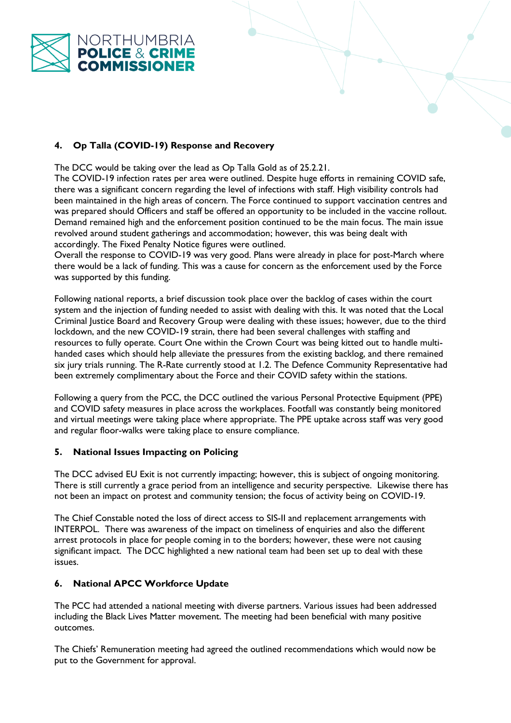

# **4. Op Talla (COVID-19) Response and Recovery**

The DCC would be taking over the lead as Op Talla Gold as of 25.2.21.

The COVID-19 infection rates per area were outlined. Despite huge efforts in remaining COVID safe, there was a significant concern regarding the level of infections with staff. High visibility controls had been maintained in the high areas of concern. The Force continued to support vaccination centres and was prepared should Officers and staff be offered an opportunity to be included in the vaccine rollout. Demand remained high and the enforcement position continued to be the main focus. The main issue revolved around student gatherings and accommodation; however, this was being dealt with accordingly. The Fixed Penalty Notice figures were outlined.

Overall the response to COVID-19 was very good. Plans were already in place for post-March where there would be a lack of funding. This was a cause for concern as the enforcement used by the Force was supported by this funding.

Following national reports, a brief discussion took place over the backlog of cases within the court system and the injection of funding needed to assist with dealing with this. It was noted that the Local Criminal Justice Board and Recovery Group were dealing with these issues; however, due to the third lockdown, and the new COVID-19 strain, there had been several challenges with staffing and resources to fully operate. Court One within the Crown Court was being kitted out to handle multihanded cases which should help alleviate the pressures from the existing backlog, and there remained six jury trials running. The R-Rate currently stood at 1.2. The Defence Community Representative had been extremely complimentary about the Force and their COVID safety within the stations.

Following a query from the PCC, the DCC outlined the various Personal Protective Equipment (PPE) and COVID safety measures in place across the workplaces. Footfall was constantly being monitored and virtual meetings were taking place where appropriate. The PPE uptake across staff was very good and regular floor-walks were taking place to ensure compliance.

# **5. National Issues Impacting on Policing**

The DCC advised EU Exit is not currently impacting; however, this is subject of ongoing monitoring. There is still currently a grace period from an intelligence and security perspective. Likewise there has not been an impact on protest and community tension; the focus of activity being on COVID-19.

The Chief Constable noted the loss of direct access to SIS-II and replacement arrangements with INTERPOL. There was awareness of the impact on timeliness of enquiries and also the different arrest protocols in place for people coming in to the borders; however, these were not causing significant impact. The DCC highlighted a new national team had been set up to deal with these issues.

# **6. National APCC Workforce Update**

The PCC had attended a national meeting with diverse partners. Various issues had been addressed including the Black Lives Matter movement. The meeting had been beneficial with many positive outcomes.

The Chiefs' Remuneration meeting had agreed the outlined recommendations which would now be put to the Government for approval.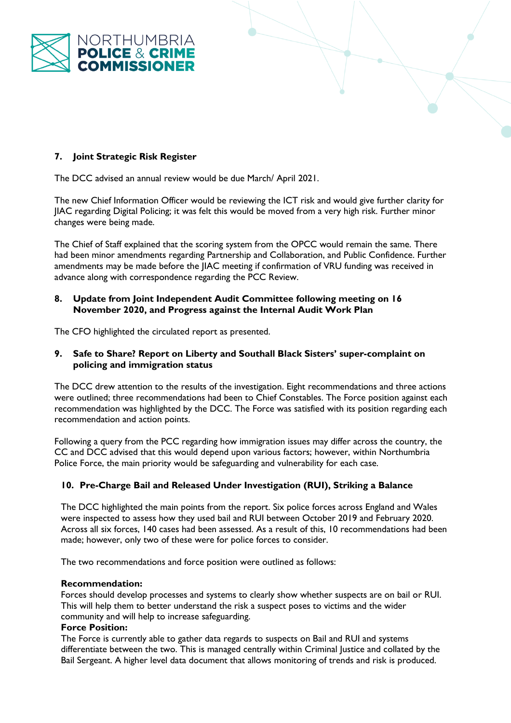

# **7. Joint Strategic Risk Register**

The DCC advised an annual review would be due March/ April 2021.

The new Chief Information Officer would be reviewing the ICT risk and would give further clarity for JIAC regarding Digital Policing; it was felt this would be moved from a very high risk. Further minor changes were being made.

The Chief of Staff explained that the scoring system from the OPCC would remain the same. There had been minor amendments regarding Partnership and Collaboration, and Public Confidence. Further amendments may be made before the JIAC meeting if confirmation of VRU funding was received in advance along with correspondence regarding the PCC Review.

#### **8. Update from Joint Independent Audit Committee following meeting on 16 November 2020, and Progress against the Internal Audit Work Plan**

The CFO highlighted the circulated report as presented.

## **9. Safe to Share? Report on Liberty and Southall Black Sisters' super-complaint on policing and immigration status**

The DCC drew attention to the results of the investigation. Eight recommendations and three actions were outlined; three recommendations had been to Chief Constables. The Force position against each recommendation was highlighted by the DCC. The Force was satisfied with its position regarding each recommendation and action points.

Following a query from the PCC regarding how immigration issues may differ across the country, the CC and DCC advised that this would depend upon various factors; however, within Northumbria Police Force, the main priority would be safeguarding and vulnerability for each case.

# **10. Pre-Charge Bail and Released Under Investigation (RUI), Striking a Balance**

The DCC highlighted the main points from the report. Six police forces across England and Wales were inspected to assess how they used bail and RUI between October 2019 and February 2020. Across all six forces, 140 cases had been assessed. As a result of this, 10 recommendations had been made; however, only two of these were for police forces to consider.

The two recommendations and force position were outlined as follows:

#### **Recommendation:**

Forces should develop processes and systems to clearly show whether suspects are on bail or RUI. This will help them to better understand the risk a suspect poses to victims and the wider community and will help to increase safeguarding.

#### **Force Position:**

The Force is currently able to gather data regards to suspects on Bail and RUI and systems differentiate between the two. This is managed centrally within Criminal Justice and collated by the Bail Sergeant. A higher level data document that allows monitoring of trends and risk is produced.